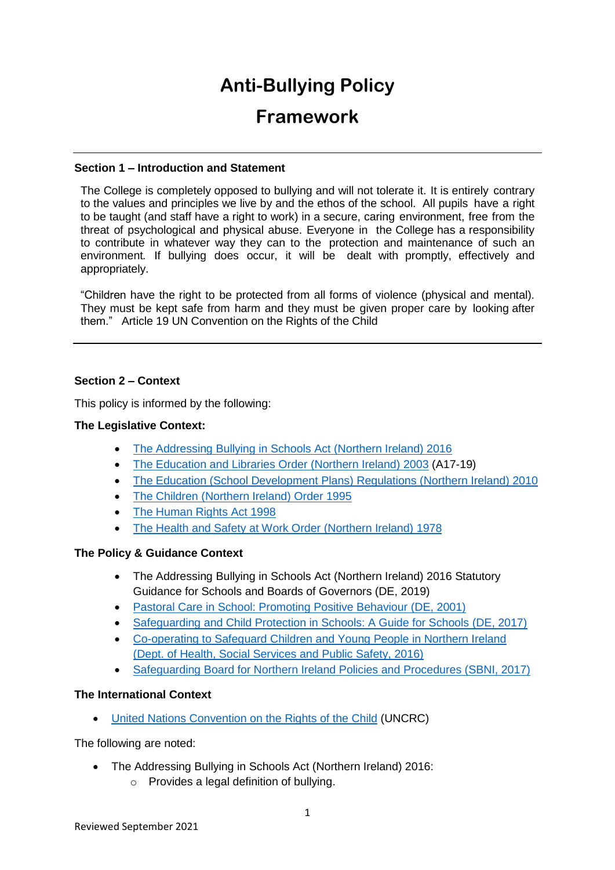# **Anti-Bullying Policy**

# **Framework**

# **Section 1 – Introduction and Statement**

The College is completely opposed to bullying and will not tolerate it. It is entirely contrary to the values and principles we live by and the ethos of the school. All pupils have a right to be taught (and staff have a right to work) in a secure, caring environment, free from the threat of psychological and physical abuse. Everyone in the College has a responsibility to contribute in whatever way they can to the protection and maintenance of such an environment*.* If bullying does occur, it will be dealt with promptly, effectively and appropriately.

"Children have the right to be protected from all forms of violence (physical and mental). They must be kept safe from harm and they must be given proper care by looking after them." Article 19 UN Convention on the Rights of the Child

# **Section 2 – Context**

This policy is informed by the following:

# **The Legislative Context:**

- The Addressing Bullving in Schools Act (Northern Ireland) 2016
- [The Education and Libraries Order \(Northern Ireland\) 2003](http://www.legislation.gov.uk/nisi/2003/424/contents/made) (A17-19)
- [The Education \(School Development Plans\) Regulations \(Northern Ireland\) 2010](https://www.education-ni.gov.uk/sites/default/files/publications/de/annex-a-school-development-plans-regulations-2010.pdf)
- [The Children \(Northern Ireland\) Order 1995](http://www.legislation.gov.uk/nisi/1995/755/contents/made)
- [The Human Rights Act 1998](https://www.legislation.gov.uk/ukpga/1998/42/contents)
- [The Health and Safety at Work Order \(Northern Ireland\) 1978](https://www.legislation.gov.uk/nisi/1978/1039)

# **The Policy & Guidance Context**

- The Addressing Bullying in Schools Act (Northern Ireland) 2016 Statutory Guidance for Schools and Boards of Governors (DE, 2019)
- [Pastoral Care in School: Promoting Positive Behaviour \(DE, 2001\)](https://www.education-ni.gov.uk/sites/default/files/publications/de/pastoral%20care%20in%20schools.pdf)
- [Safeguarding and Child Protection in Schools: A Guide for Schools \(DE, 2017\)](https://www.education-ni.gov.uk/sites/default/files/publications/education/Safeguarding-and-Child-Protection-in-Schools-A-Guide-for-Schools.pdf)
- [Co-operating to Safeguard Children and Young People in Northern Ireland](https://www.health-ni.gov.uk/publications/co-operating-safeguard-children-and-young-people-northern-ireland)  [\(Dept. of Health, Social Services and Public Safety, 2016\)](https://www.health-ni.gov.uk/publications/co-operating-safeguard-children-and-young-people-northern-ireland)
- [Safeguarding Board for Northern Ireland Policies and Procedures \(SBNI, 2017\)](https://www.proceduresonline.com/sbni/)

# **The International Context**

[United Nations Convention on the Rights of the Child](https://downloads.unicef.org.uk/wp-content/uploads/2010/05/UNCRC_united_nations_convention_on_the_rights_of_the_child.pdf?_ga=2.109765637.1827233515.1552648186-274690600.1552648186) (UNCRC)

The following are noted:

- The Addressing Bullying in Schools Act (Northern Ireland) 2016:
	- o Provides a legal definition of bullying.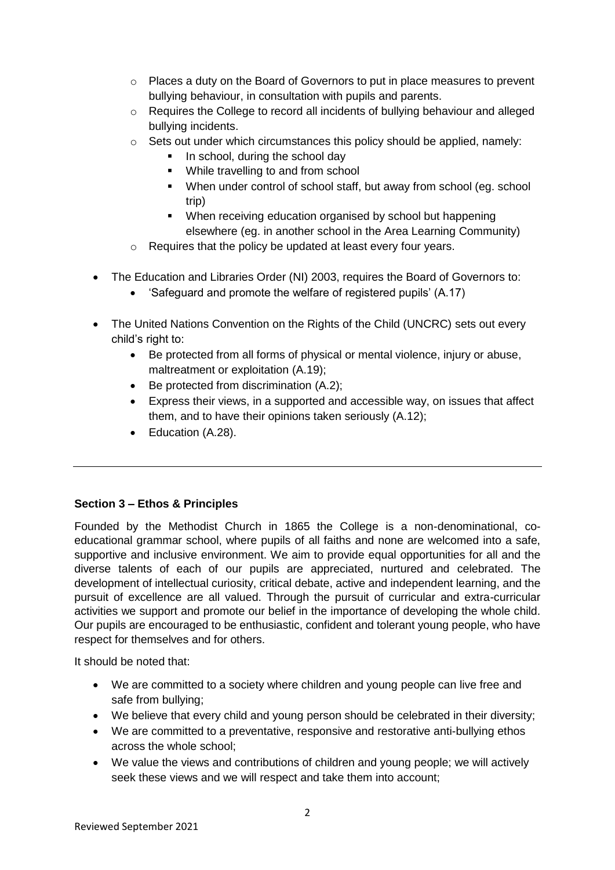- o Places a duty on the Board of Governors to put in place measures to prevent bullying behaviour, in consultation with pupils and parents.
- $\circ$  Requires the College to record all incidents of bullying behaviour and alleged bullying incidents.
- o Sets out under which circumstances this policy should be applied, namely:
	- In school, during the school day
	- While travelling to and from school
	- When under control of school staff, but away from school (eg. school trip)
	- **When receiving education organised by school but happening** elsewhere (eg. in another school in the Area Learning Community)
- o Requires that the policy be updated at least every four years.
- The Education and Libraries Order (NI) 2003, requires the Board of Governors to:
	- 'Safeguard and promote the welfare of registered pupils' (A.17)
- The United Nations Convention on the Rights of the Child (UNCRC) sets out every child's right to:
	- Be protected from all forms of physical or mental violence, injury or abuse, maltreatment or exploitation (A.19);
	- $\bullet$  Be protected from discrimination  $(A.2)$ ;
	- Express their views, in a supported and accessible way, on issues that affect them, and to have their opinions taken seriously (A.12);
	- Education (A.28).

# **Section 3 – Ethos & Principles**

Founded by the Methodist Church in 1865 the College is a non-denominational, coeducational grammar school, where pupils of all faiths and none are welcomed into a safe, supportive and inclusive environment. We aim to provide equal opportunities for all and the diverse talents of each of our pupils are appreciated, nurtured and celebrated. The development of intellectual curiosity, critical debate, active and independent learning, and the pursuit of excellence are all valued. Through the pursuit of curricular and extra-curricular activities we support and promote our belief in the importance of developing the whole child. Our pupils are encouraged to be enthusiastic, confident and tolerant young people, who have respect for themselves and for others.

It should be noted that:

- We are committed to a society where children and young people can live free and safe from bullying;
- We believe that every child and young person should be celebrated in their diversity;
- We are committed to a preventative, responsive and restorative anti-bullying ethos across the whole school;
- We value the views and contributions of children and young people; we will actively seek these views and we will respect and take them into account;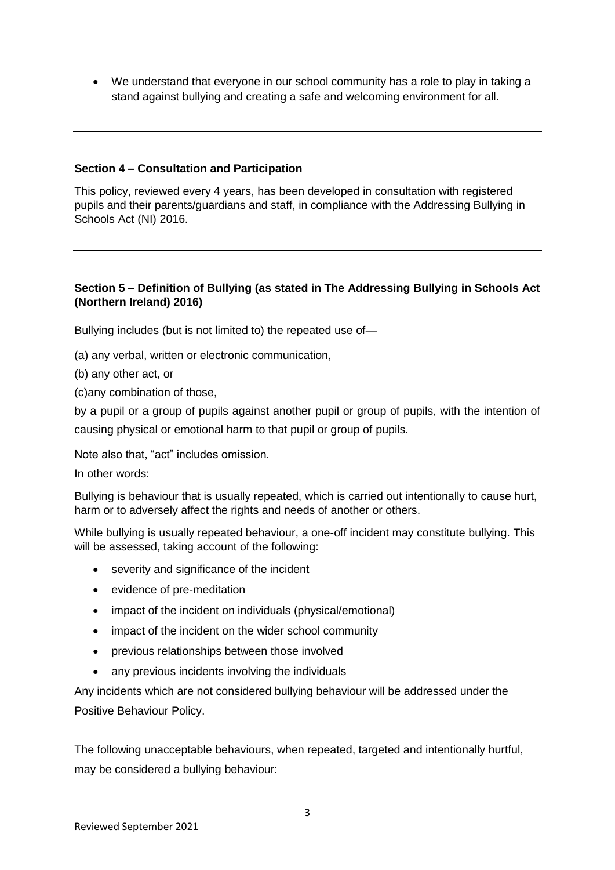We understand that everyone in our school community has a role to play in taking a stand against bullying and creating a safe and welcoming environment for all.

#### **Section 4 – Consultation and Participation**

This policy, reviewed every 4 years, has been developed in consultation with registered pupils and their parents/guardians and staff, in compliance with the Addressing Bullying in Schools Act (NI) 2016.

# **Section 5 – Definition of Bullying (as stated in The Addressing Bullying in Schools Act (Northern Ireland) 2016)**

Bullying includes (but is not limited to) the repeated use of—

(a) any verbal, written or electronic communication,

(b) any other act, or

(c)any combination of those,

by a pupil or a group of pupils against another pupil or group of pupils, with the intention of causing physical or emotional harm to that pupil or group of pupils.

Note also that, "act" includes omission.

In other words:

Bullying is behaviour that is usually repeated, which is carried out intentionally to cause hurt, harm or to adversely affect the rights and needs of another or others.

While bullying is usually repeated behaviour, a one-off incident may constitute bullying. This will be assessed, taking account of the following:

- severity and significance of the incident
- evidence of pre-meditation
- impact of the incident on individuals (physical/emotional)
- impact of the incident on the wider school community
- previous relationships between those involved
- any previous incidents involving the individuals

Any incidents which are not considered bullying behaviour will be addressed under the Positive Behaviour Policy.

The following unacceptable behaviours, when repeated, targeted and intentionally hurtful, may be considered a bullying behaviour: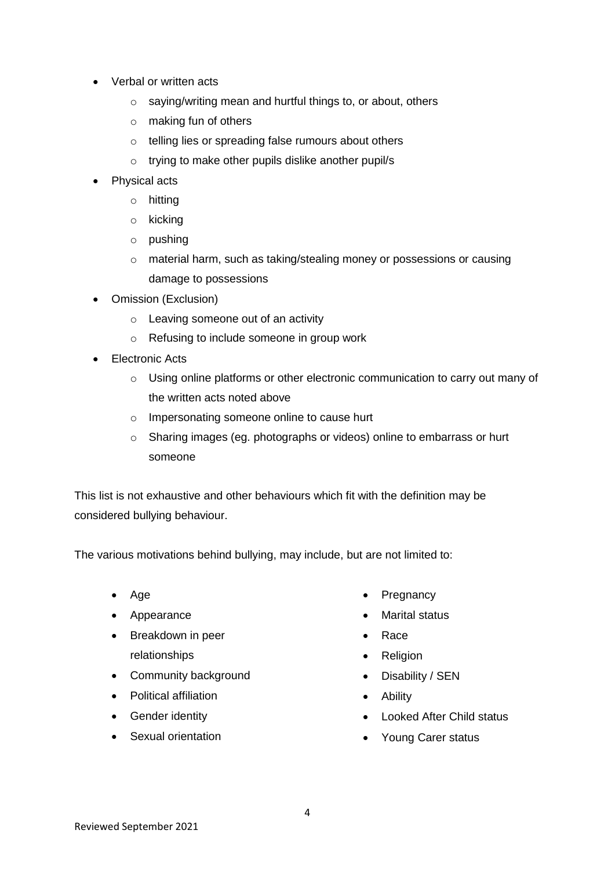- Verbal or written acts
	- o saying/writing mean and hurtful things to, or about, others
	- o making fun of others
	- o telling lies or spreading false rumours about others
	- o trying to make other pupils dislike another pupil/s
- Physical acts
	- o hitting
	- o kicking
	- o pushing
	- o material harm, such as taking/stealing money or possessions or causing damage to possessions
- Omission (Exclusion)
	- o Leaving someone out of an activity
	- o Refusing to include someone in group work
- Electronic Acts
	- o Using online platforms or other electronic communication to carry out many of the written acts noted above
	- o Impersonating someone online to cause hurt
	- o Sharing images (eg. photographs or videos) online to embarrass or hurt someone

This list is not exhaustive and other behaviours which fit with the definition may be considered bullying behaviour.

The various motivations behind bullying, may include, but are not limited to:

- Age
- Appearance
- Breakdown in peer relationships
- Community background
- Political affiliation
- Gender identity
- Sexual orientation
- Pregnancy
- Marital status
- Race
- Religion
- Disability / SEN
- Ability
- Looked After Child status
- Young Carer status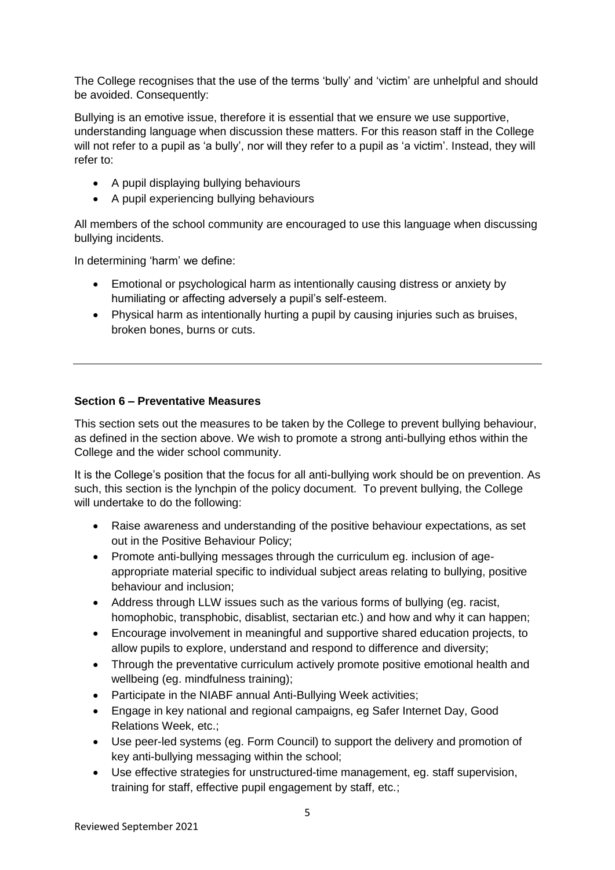The College recognises that the use of the terms 'bully' and 'victim' are unhelpful and should be avoided. Consequently:

Bullying is an emotive issue, therefore it is essential that we ensure we use supportive, understanding language when discussion these matters. For this reason staff in the College will not refer to a pupil as 'a bully', nor will they refer to a pupil as 'a victim'. Instead, they will refer to:

- A pupil displaying bullying behaviours
- A pupil experiencing bullying behaviours

All members of the school community are encouraged to use this language when discussing bullying incidents.

In determining 'harm' we define:

- Emotional or psychological harm as intentionally causing distress or anxiety by humiliating or affecting adversely a pupil's self-esteem.
- Physical harm as intentionally hurting a pupil by causing injuries such as bruises, broken bones, burns or cuts.

#### **Section 6 – Preventative Measures**

This section sets out the measures to be taken by the College to prevent bullying behaviour, as defined in the section above. We wish to promote a strong anti-bullying ethos within the College and the wider school community.

It is the College's position that the focus for all anti-bullying work should be on prevention. As such, this section is the lynchpin of the policy document. To prevent bullying, the College will undertake to do the following:

- Raise awareness and understanding of the positive behaviour expectations, as set out in the Positive Behaviour Policy;
- Promote anti-bullying messages through the curriculum eg. inclusion of ageappropriate material specific to individual subject areas relating to bullying, positive behaviour and inclusion;
- Address through LLW issues such as the various forms of bullying (eg. racist, homophobic, transphobic, disablist, sectarian etc.) and how and why it can happen;
- Encourage involvement in meaningful and supportive shared education projects, to allow pupils to explore, understand and respond to difference and diversity;
- Through the preventative curriculum actively promote positive emotional health and wellbeing (eg. mindfulness training);
- Participate in the NIABF annual Anti-Bullying Week activities;
- Engage in key national and regional campaigns, eg Safer Internet Day, Good Relations Week, etc.;
- Use peer-led systems (eg. Form Council) to support the delivery and promotion of key anti-bullying messaging within the school;
- Use effective strategies for unstructured-time management, eg. staff supervision, training for staff, effective pupil engagement by staff, etc.;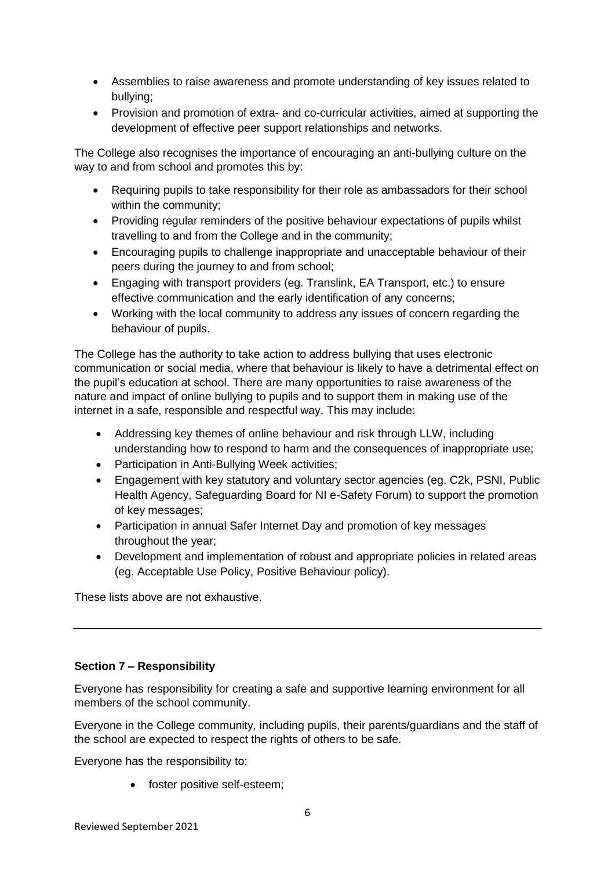- Assemblies to raise awareness and promote understanding of key issues related to bullying;
- Provision and promotion of extra- and co-curricular activities, aimed at supporting the development of effective peer support relationships and networks.

The College also recognises the importance of encouraging an anti-bullying culture on the way to and from school and promotes this by:

- Requiring pupils to take responsibility for their role as ambassadors for their school within the community;
- Providing regular reminders of the positive behaviour expectations of pupils whilst travelling to and from the College and in the community;
- Encouraging pupils to challenge inappropriate and unacceptable behaviour of their peers during the journey to and from school;
- Engaging with transport providers (eg. Translink, EA Transport, etc.) to ensure effective communication and the early identification of any concerns;
- Working with the local community to address any issues of concern regarding the behaviour of pupils.

The College has the authority to take action to address bullying that uses electronic communication or social media, where that behaviour is likely to have a detrimental effect on the pupil's education at school. There are many opportunities to raise awareness of the nature and impact of online bullying to pupils and to support them in making use of the internet in a safe, responsible and respectful way. This may include:

- Addressing key themes of online behaviour and risk through LLW, including understanding how to respond to harm and the consequences of inappropriate use;
- Participation in Anti-Bullying Week activities;
- Engagement with key statutory and voluntary sector agencies (eg. C2k, PSNI, Public Health Agency, Safeguarding Board for NI e-Safety Forum) to support the promotion of key messages;
- Participation in annual Safer Internet Day and promotion of key messages throughout the year;
- Development and implementation of robust and appropriate policies in related areas (eg. Acceptable Use Policy, Positive Behaviour policy).

These lists above are not exhaustive.

# **Section 7 – Responsibility**

Everyone has responsibility for creating a safe and supportive learning environment for all members of the school community.

Everyone in the College community, including pupils, their parents/guardians and the staff of the school are expected to respect the rights of others to be safe.

Everyone has the responsibility to:

• foster positive self-esteem;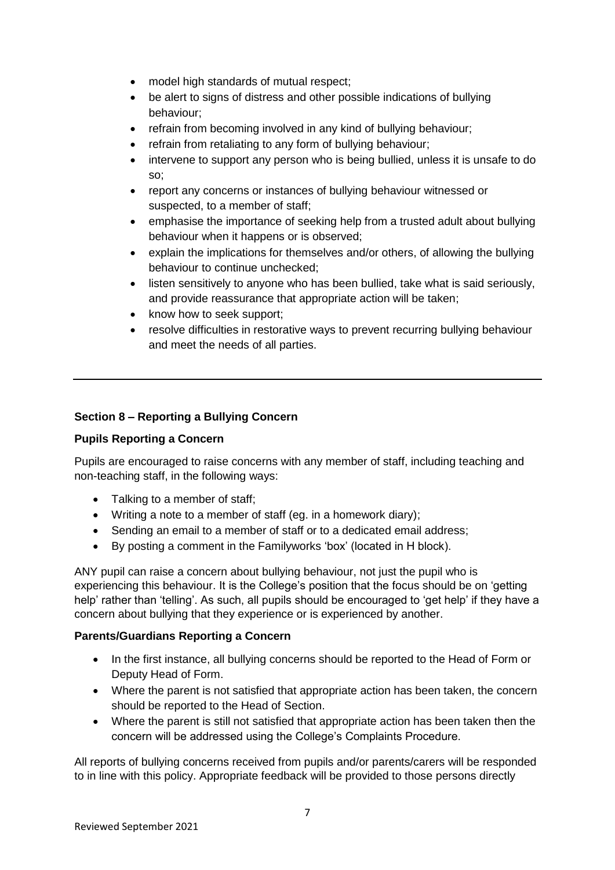- model high standards of mutual respect;
- be alert to signs of distress and other possible indications of bullying behaviour;
- refrain from becoming involved in any kind of bullying behaviour;
- refrain from retaliating to any form of bullying behaviour;
- intervene to support any person who is being bullied, unless it is unsafe to do so;
- report any concerns or instances of bullying behaviour witnessed or suspected, to a member of staff;
- emphasise the importance of seeking help from a trusted adult about bullying behaviour when it happens or is observed;
- explain the implications for themselves and/or others, of allowing the bullying behaviour to continue unchecked;
- listen sensitively to anyone who has been bullied, take what is said seriously, and provide reassurance that appropriate action will be taken;
- know how to seek support;
- resolve difficulties in restorative ways to prevent recurring bullying behaviour and meet the needs of all parties.

# **Section 8 – Reporting a Bullying Concern**

#### **Pupils Reporting a Concern**

Pupils are encouraged to raise concerns with any member of staff, including teaching and non-teaching staff, in the following ways:

- Talking to a member of staff;
- Writing a note to a member of staff (eg. in a homework diary);
- Sending an email to a member of staff or to a dedicated email address;
- By posting a comment in the Familyworks 'box' (located in H block).

ANY pupil can raise a concern about bullying behaviour, not just the pupil who is experiencing this behaviour. It is the College's position that the focus should be on 'getting help' rather than 'telling'. As such, all pupils should be encouraged to 'get help' if they have a concern about bullying that they experience or is experienced by another.

#### **Parents/Guardians Reporting a Concern**

- In the first instance, all bullying concerns should be reported to the Head of Form or Deputy Head of Form.
- Where the parent is not satisfied that appropriate action has been taken, the concern should be reported to the Head of Section.
- Where the parent is still not satisfied that appropriate action has been taken then the concern will be addressed using the College's Complaints Procedure.

All reports of bullying concerns received from pupils and/or parents/carers will be responded to in line with this policy. Appropriate feedback will be provided to those persons directly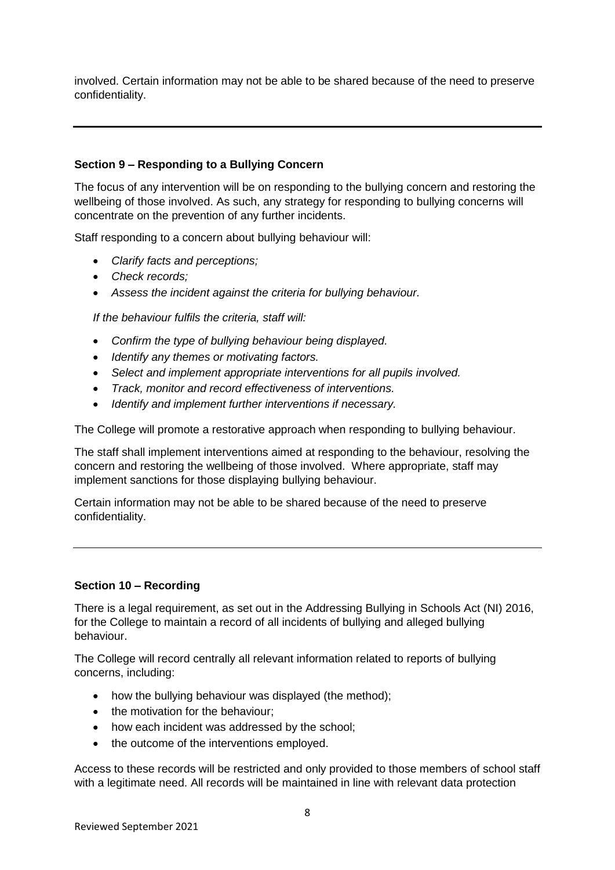involved. Certain information may not be able to be shared because of the need to preserve confidentiality.

# **Section 9 – Responding to a Bullying Concern**

The focus of any intervention will be on responding to the bullying concern and restoring the wellbeing of those involved. As such, any strategy for responding to bullying concerns will concentrate on the prevention of any further incidents.

Staff responding to a concern about bullying behaviour will:

- *Clarify facts and perceptions;*
- *Check records;*
- *Assess the incident against the criteria for bullying behaviour.*

*If the behaviour fulfils the criteria, staff will:*

- *Confirm the type of bullying behaviour being displayed.*
- *Identify any themes or motivating factors.*
- *Select and implement appropriate interventions for all pupils involved.*
- *Track, monitor and record effectiveness of interventions.*
- *Identify and implement further interventions if necessary.*

The College will promote a restorative approach when responding to bullying behaviour.

The staff shall implement interventions aimed at responding to the behaviour, resolving the concern and restoring the wellbeing of those involved. Where appropriate, staff may implement sanctions for those displaying bullying behaviour.

Certain information may not be able to be shared because of the need to preserve confidentiality.

#### **Section 10 – Recording**

There is a legal requirement, as set out in the Addressing Bullying in Schools Act (NI) 2016, for the College to maintain a record of all incidents of bullying and alleged bullying behaviour.

The College will record centrally all relevant information related to reports of bullying concerns, including:

- how the bullying behaviour was displayed (the method);
- the motivation for the behaviour;
- how each incident was addressed by the school;
- the outcome of the interventions employed.

Access to these records will be restricted and only provided to those members of school staff with a legitimate need. All records will be maintained in line with relevant data protection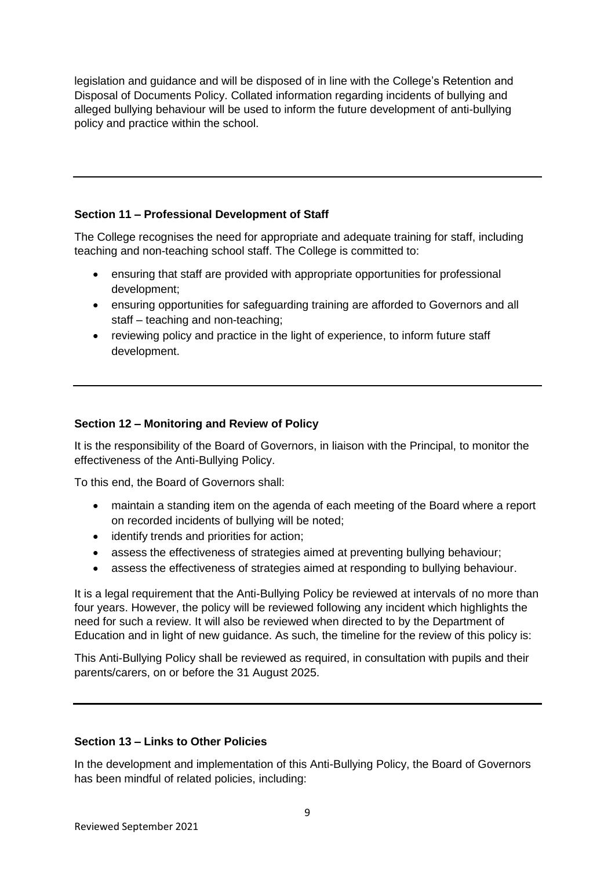legislation and guidance and will be disposed of in line with the College's Retention and Disposal of Documents Policy. Collated information regarding incidents of bullying and alleged bullying behaviour will be used to inform the future development of anti-bullying policy and practice within the school.

# **Section 11 – Professional Development of Staff**

The College recognises the need for appropriate and adequate training for staff, including teaching and non-teaching school staff. The College is committed to:

- ensuring that staff are provided with appropriate opportunities for professional development;
- ensuring opportunities for safeguarding training are afforded to Governors and all staff – teaching and non-teaching;
- reviewing policy and practice in the light of experience, to inform future staff development.

# **Section 12 – Monitoring and Review of Policy**

It is the responsibility of the Board of Governors, in liaison with the Principal, to monitor the effectiveness of the Anti-Bullying Policy.

To this end, the Board of Governors shall:

- maintain a standing item on the agenda of each meeting of the Board where a report on recorded incidents of bullying will be noted;
- identify trends and priorities for action;
- assess the effectiveness of strategies aimed at preventing bullying behaviour;
- assess the effectiveness of strategies aimed at responding to bullying behaviour.

It is a legal requirement that the Anti-Bullying Policy be reviewed at intervals of no more than four years. However, the policy will be reviewed following any incident which highlights the need for such a review. It will also be reviewed when directed to by the Department of Education and in light of new guidance. As such, the timeline for the review of this policy is:

This Anti-Bullying Policy shall be reviewed as required, in consultation with pupils and their parents/carers, on or before the 31 August 2025.

#### **Section 13 – Links to Other Policies**

In the development and implementation of this Anti-Bullying Policy, the Board of Governors has been mindful of related policies, including: